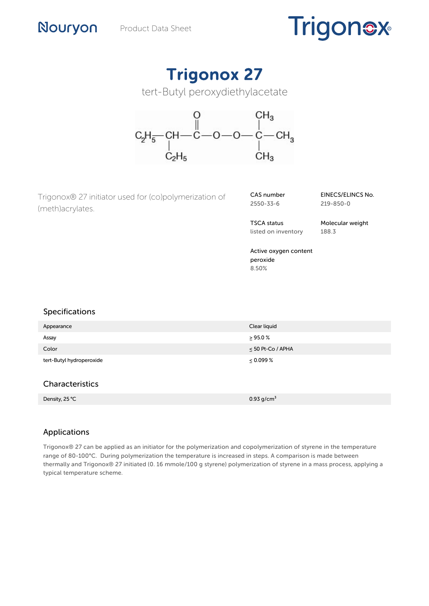# **Trigonex**

# Trigonox 27

tert-Butyl peroxydiethylacetate



Trigonox® 27 initiator used for (co)polymerization of (meth)acrylates.

CAS number 2550-33-6

EINECS/ELINCS No. 219-850-0

TSCA status listed on inventory Molecular weight 188.3

Active oxygen content peroxide 8.50%

# Specifications

Nouryon

| Appearance               | Clear liquid           |
|--------------------------|------------------------|
| Assay                    | $\geq$ 95.0 %          |
| Color                    | $\leq$ 50 Pt-Co / APHA |
| tert-Butyl hydroperoxide | $\leq 0.099\%$         |
| Characteristics          |                        |
| Density, 25 °C           | 0.93 $g/cm^{3}$        |

# Applications

Trigonox® 27 can be applied as an initiator for the polymerization and copolymerization of styrene in the temperature range of 80-100°C. During polymerization the temperature is increased in steps. A comparison is made between thermally and Trigonox® 27 initiated (0. 16 mmole/100 g styrene) polymerization of styrene in a mass process, applying a typical temperature scheme.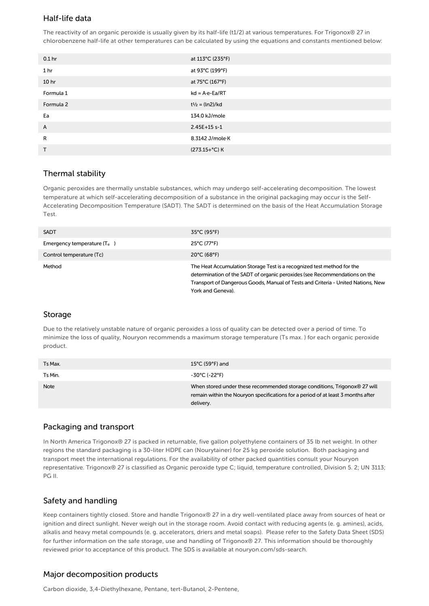# Half-life data

The reactivity of an organic peroxide is usually given by its half-life (t1/2) at various temperatures. For Trigonox® 27 in chlorobenzene half-life at other temperatures can be calculated by using the equations and constants mentioned below:

| 0.1 <sub>hr</sub> | at 113°C (235°F)         |
|-------------------|--------------------------|
| 1 <sub>hr</sub>   | at 93°C (199°F)          |
| 10 <sub>hr</sub>  | at 75°C (167°F)          |
| Formula 1         | $kd = A \cdot e - Ea/RT$ |
| Formula 2         | $t^{1/2} = (ln2)/kd$     |
| Ea                | 134.0 kJ/mole            |
| A                 | 2.45E+15 s-1             |
| R                 | 8.3142 J/mole K          |
| T                 | (273.15+°C) K            |

#### Thermal stability

Organic peroxides are thermally unstable substances, which may undergo self-accelerating decomposition. The lowest temperature at which self-accelerating decomposition of a substance in the original packaging may occur is the Self-Accelerating Decomposition Temperature (SADT). The SADT is determined on the basis of the Heat Accumulation Storage Test.

| <b>SADT</b>                   | $35^{\circ}$ C (95°F)                                                                                                                                                                                                                                         |
|-------------------------------|---------------------------------------------------------------------------------------------------------------------------------------------------------------------------------------------------------------------------------------------------------------|
| Emergency temperature $(T_e)$ | $25^{\circ}$ C (77 $^{\circ}$ F)                                                                                                                                                                                                                              |
| Control temperature (Tc)      | $20^{\circ}$ C (68 $^{\circ}$ F)                                                                                                                                                                                                                              |
| Method                        | The Heat Accumulation Storage Test is a recognized test method for the<br>determination of the SADT of organic peroxides (see Recommendations on the<br>Transport of Dangerous Goods, Manual of Tests and Criteria - United Nations, New<br>York and Geneva). |

#### Storage

Due to the relatively unstable nature of organic peroxides a loss of quality can be detected over a period of time. To minimize the loss of quality, Nouryon recommends a maximum storage temperature (Ts max. ) for each organic peroxide product.

| Ts Max. | $15^{\circ}$ C (59 $^{\circ}$ F) and                                                                                                                                       |
|---------|----------------------------------------------------------------------------------------------------------------------------------------------------------------------------|
| Ts Min. | -30°C (-22°F)                                                                                                                                                              |
| Note    | When stored under these recommended storage conditions, Trigonox® 27 will<br>remain within the Nouryon specifications for a period of at least 3 months after<br>delivery. |

#### Packaging and transport

In North America Trigonox® 27 is packed in returnable, five gallon polyethylene containers of 35 lb net weight. In other regions the standard packaging is a 30-liter HDPE can (Nourytainer) for 25 kg peroxide solution. Both packaging and transport meet the international regulations. For the availability of other packed quantities consult your Nouryon representative. Trigonox® 27 is classified as Organic peroxide type C; liquid, temperature controlled, Division 5. 2; UN 3113; PG II.

# Safety and handling

Keep containers tightly closed. Store and handle Trigonox® 27 in a dry well-ventilated place away from sources of heat or ignition and direct sunlight. Never weigh out in the storage room. Avoid contact with reducing agents (e. g. amines), acids, alkalis and heavy metal compounds (e. g. accelerators, driers and metal soaps). Please refer to the Safety Data Sheet (SDS) for further information on the safe storage, use and handling of Trigonox® 27. This information should be thoroughly reviewed prior to acceptance of this product. The SDS is available at nouryon.com/sds-search.

# Major decomposition products

Carbon dioxide, 3,4-Diethylhexane, Pentane, tert-Butanol, 2-Pentene,